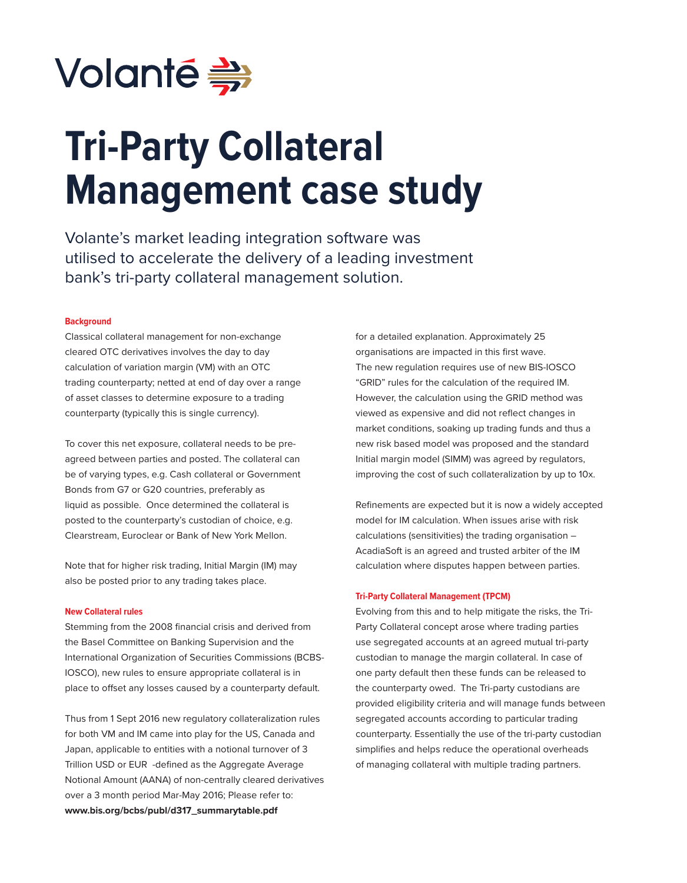

# **Tri-Party Collateral Management case study**

Volante's market leading integration software was utilised to accelerate the delivery of a leading investment bank's tri-party collateral management solution.

# **Background**

Classical collateral management for non-exchange cleared OTC derivatives involves the day to day calculation of variation margin (VM) with an OTC trading counterparty; netted at end of day over a range of asset classes to determine exposure to a trading counterparty (typically this is single currency).

To cover this net exposure, collateral needs to be preagreed between parties and posted. The collateral can be of varying types, e.g. Cash collateral or Government Bonds from G7 or G20 countries, preferably as liquid as possible. Once determined the collateral is posted to the counterparty's custodian of choice, e.g. Clearstream, Euroclear or Bank of New York Mellon.

Note that for higher risk trading, Initial Margin (IM) may also be posted prior to any trading takes place.

#### **New Collateral rules**

Stemming from the 2008 financial crisis and derived from the Basel Committee on Banking Supervision and the International Organization of Securities Commissions (BCBS-IOSCO), new rules to ensure appropriate collateral is in place to offset any losses caused by a counterparty default.

Thus from 1 Sept 2016 new regulatory collateralization rules for both VM and IM came into play for the US, Canada and Japan, applicable to entities with a notional turnover of 3 Trillion USD or EUR -defined as the Aggregate Average Notional Amount (AANA) of non-centrally cleared derivatives over a 3 month period Mar-May 2016; Please refer to: **www.bis.org/bcbs/publ/d317\_summarytable.pdf**

for a detailed explanation. Approximately 25 organisations are impacted in this first wave. The new regulation requires use of new BIS-IOSCO "GRID" rules for the calculation of the required IM. However, the calculation using the GRID method was viewed as expensive and did not reflect changes in market conditions, soaking up trading funds and thus a new risk based model was proposed and the standard Initial margin model (SIMM) was agreed by regulators, improving the cost of such collateralization by up to 10x.

Refinements are expected but it is now a widely accepted model for IM calculation. When issues arise with risk calculations (sensitivities) the trading organisation – AcadiaSoft is an agreed and trusted arbiter of the IM calculation where disputes happen between parties.

#### **Tri-Party Collateral Management (TPCM)**

Evolving from this and to help mitigate the risks, the Tri-Party Collateral concept arose where trading parties use segregated accounts at an agreed mutual tri-party custodian to manage the margin collateral. In case of one party default then these funds can be released to the counterparty owed. The Tri-party custodians are provided eligibility criteria and will manage funds between segregated accounts according to particular trading counterparty. Essentially the use of the tri-party custodian simplifies and helps reduce the operational overheads of managing collateral with multiple trading partners.